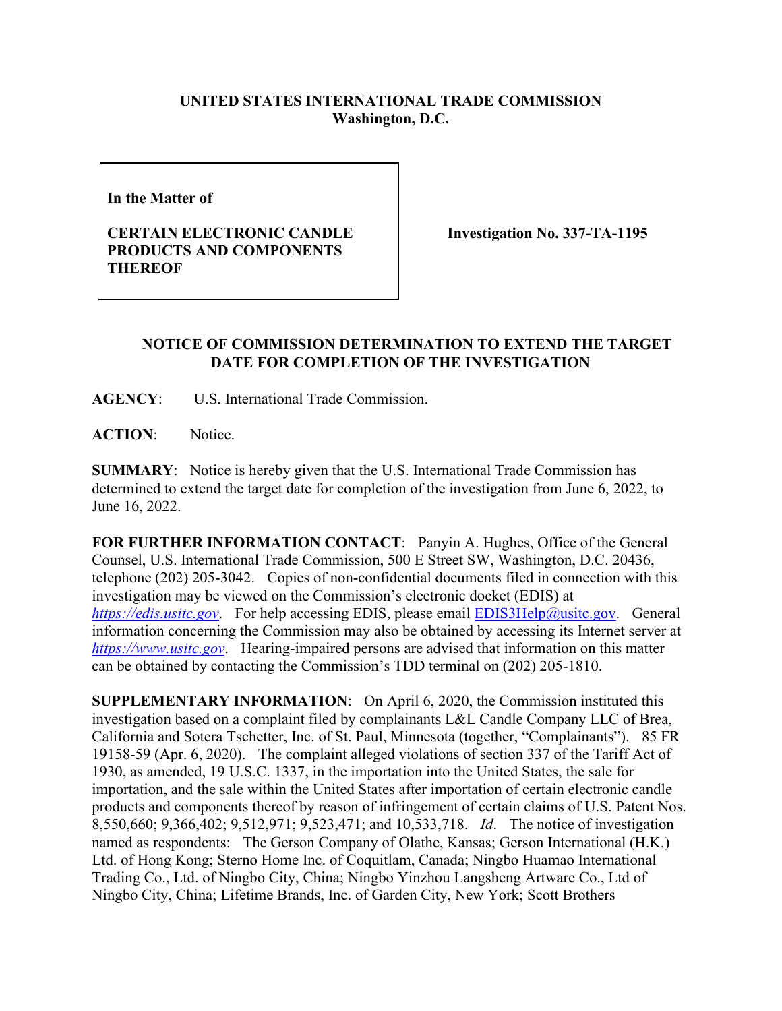## **UNITED STATES INTERNATIONAL TRADE COMMISSION Washington, D.C.**

**In the Matter of** 

## **CERTAIN ELECTRONIC CANDLE PRODUCTS AND COMPONENTS THEREOF**

**Investigation No. 337-TA-1195** 

## **NOTICE OF COMMISSION DETERMINATION TO EXTEND THE TARGET DATE FOR COMPLETION OF THE INVESTIGATION**

**AGENCY**: U.S. International Trade Commission.

**ACTION**: Notice.

**SUMMARY**: Notice is hereby given that the U.S. International Trade Commission has determined to extend the target date for completion of the investigation from June 6, 2022, to June 16, 2022.

**FOR FURTHER INFORMATION CONTACT**: Panyin A. Hughes, Office of the General Counsel, U.S. International Trade Commission, 500 E Street SW, Washington, D.C. 20436, telephone (202) 205-3042. Copies of non-confidential documents filed in connection with this investigation may be viewed on the Commission's electronic docket (EDIS) at *[https://edis.usitc.gov](https://edis.usitc.gov/).* For help accessing EDIS, please email [EDIS3Help@usitc.gov.](mailto:EDIS3Help@usitc.gov) General information concerning the Commission may also be obtained by accessing its Internet server at *[https://www.usitc.gov](https://www.usitc.gov/)*. Hearing-impaired persons are advised that information on this matter can be obtained by contacting the Commission's TDD terminal on (202) 205-1810.

**SUPPLEMENTARY INFORMATION**: On April 6, 2020, the Commission instituted this investigation based on a complaint filed by complainants L&L Candle Company LLC of Brea, California and Sotera Tschetter, Inc. of St. Paul, Minnesota (together, "Complainants"). 85 FR 19158-59 (Apr. 6, 2020). The complaint alleged violations of section 337 of the Tariff Act of 1930, as amended, 19 U.S.C. 1337, in the importation into the United States, the sale for importation, and the sale within the United States after importation of certain electronic candle products and components thereof by reason of infringement of certain claims of U.S. Patent Nos. 8,550,660; 9,366,402; 9,512,971; 9,523,471; and 10,533,718. *Id*. The notice of investigation named as respondents: The Gerson Company of Olathe, Kansas; Gerson International (H.K.) Ltd. of Hong Kong; Sterno Home Inc. of Coquitlam, Canada; Ningbo Huamao International Trading Co., Ltd. of Ningbo City, China; Ningbo Yinzhou Langsheng Artware Co., Ltd of Ningbo City, China; Lifetime Brands, Inc. of Garden City, New York; Scott Brothers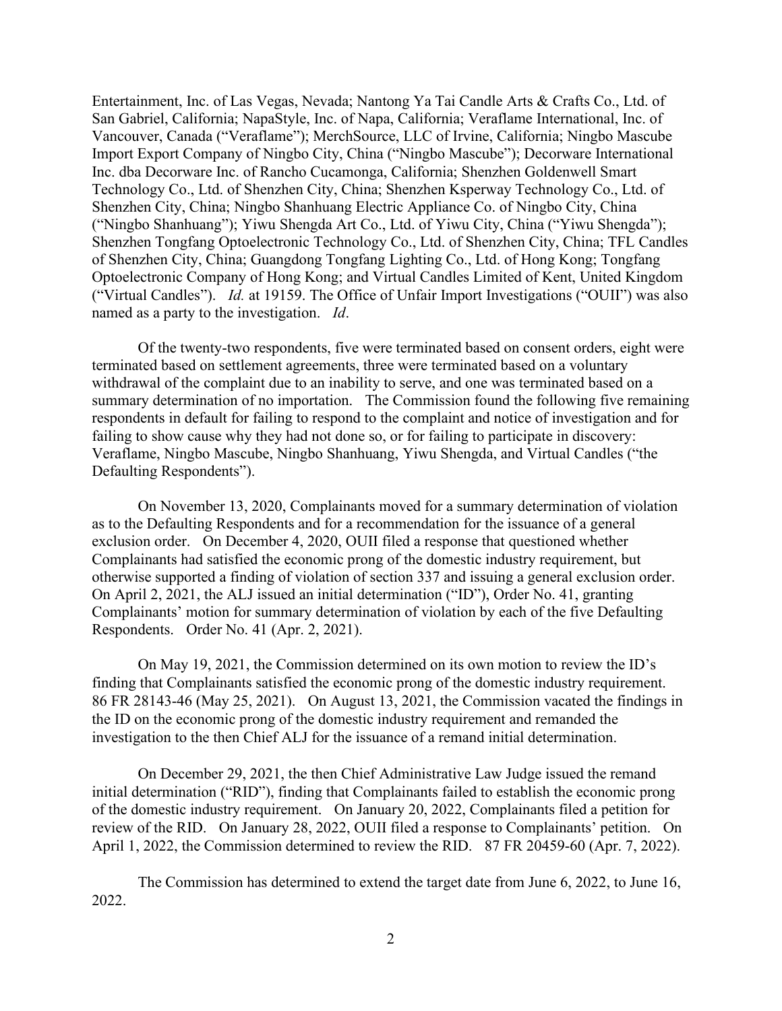Entertainment, Inc. of Las Vegas, Nevada; Nantong Ya Tai Candle Arts & Crafts Co., Ltd. of San Gabriel, California; NapaStyle, Inc. of Napa, California; Veraflame International, Inc. of Vancouver, Canada ("Veraflame"); MerchSource, LLC of Irvine, California; Ningbo Mascube Import Export Company of Ningbo City, China ("Ningbo Mascube"); Decorware International Inc. dba Decorware Inc. of Rancho Cucamonga, California; Shenzhen Goldenwell Smart Technology Co., Ltd. of Shenzhen City, China; Shenzhen Ksperway Technology Co., Ltd. of Shenzhen City, China; Ningbo Shanhuang Electric Appliance Co. of Ningbo City, China ("Ningbo Shanhuang"); Yiwu Shengda Art Co., Ltd. of Yiwu City, China ("Yiwu Shengda"); Shenzhen Tongfang Optoelectronic Technology Co., Ltd. of Shenzhen City, China; TFL Candles of Shenzhen City, China; Guangdong Tongfang Lighting Co., Ltd. of Hong Kong; Tongfang Optoelectronic Company of Hong Kong; and Virtual Candles Limited of Kent, United Kingdom ("Virtual Candles"). *Id.* at 19159. The Office of Unfair Import Investigations ("OUII") was also named as a party to the investigation. *Id*.

Of the twenty-two respondents, five were terminated based on consent orders, eight were terminated based on settlement agreements, three were terminated based on a voluntary withdrawal of the complaint due to an inability to serve, and one was terminated based on a summary determination of no importation. The Commission found the following five remaining respondents in default for failing to respond to the complaint and notice of investigation and for failing to show cause why they had not done so, or for failing to participate in discovery: Veraflame, Ningbo Mascube, Ningbo Shanhuang, Yiwu Shengda, and Virtual Candles ("the Defaulting Respondents").

On November 13, 2020, Complainants moved for a summary determination of violation as to the Defaulting Respondents and for a recommendation for the issuance of a general exclusion order. On December 4, 2020, OUII filed a response that questioned whether Complainants had satisfied the economic prong of the domestic industry requirement, but otherwise supported a finding of violation of section 337 and issuing a general exclusion order. On April 2, 2021, the ALJ issued an initial determination ("ID"), Order No. 41, granting Complainants' motion for summary determination of violation by each of the five Defaulting Respondents. Order No. 41 (Apr. 2, 2021).

On May 19, 2021, the Commission determined on its own motion to review the ID's finding that Complainants satisfied the economic prong of the domestic industry requirement. 86 FR 28143-46 (May 25, 2021). On August 13, 2021, the Commission vacated the findings in the ID on the economic prong of the domestic industry requirement and remanded the investigation to the then Chief ALJ for the issuance of a remand initial determination.

On December 29, 2021, the then Chief Administrative Law Judge issued the remand initial determination ("RID"), finding that Complainants failed to establish the economic prong of the domestic industry requirement. On January 20, 2022, Complainants filed a petition for review of the RID. On January 28, 2022, OUII filed a response to Complainants' petition. On April 1, 2022, the Commission determined to review the RID. 87 FR 20459-60 (Apr. 7, 2022).

The Commission has determined to extend the target date from June 6, 2022, to June 16, 2022.